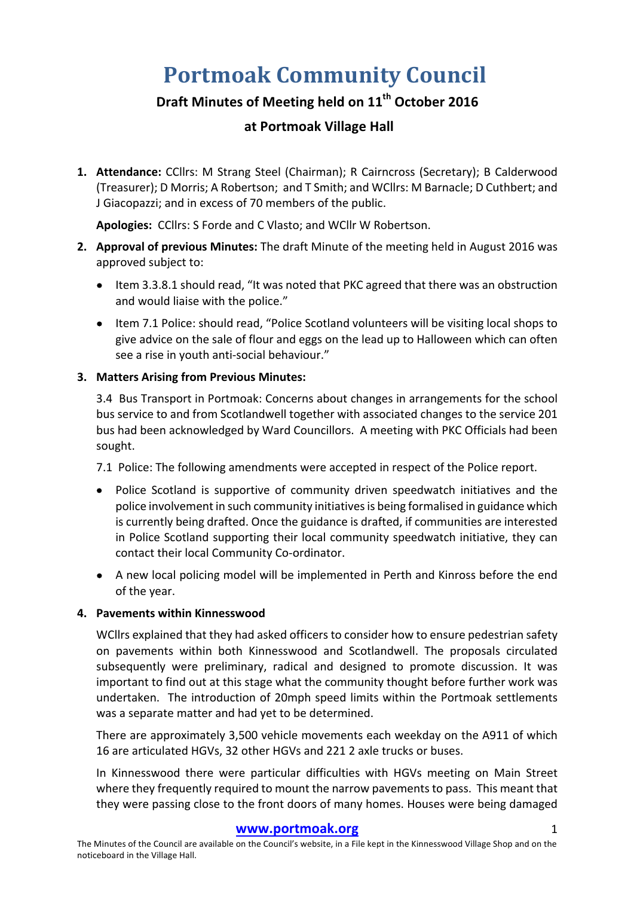# **Portmoak Community Council**

## **Draft Minutes of Meeting held on 11th October 2016**

### **at Portmoak Village Hall**

1. Attendance: CCllrs: M Strang Steel (Chairman); R Cairncross (Secretary); B Calderwood (Treasurer); D Morris; A Robertson; and T Smith; and WCllrs: M Barnacle; D Cuthbert; and J Giacopazzi; and in excess of 70 members of the public.

Apologies: CCllrs: S Forde and C Vlasto; and WCllr W Robertson.

- **2. Approval of previous Minutes:** The draft Minute of the meeting held in August 2016 was approved subject to:
	- Item 3.3.8.1 should read, "It was noted that PKC agreed that there was an obstruction and would liaise with the police."
	- Item 7.1 Police: should read, "Police Scotland volunteers will be visiting local shops to give advice on the sale of flour and eggs on the lead up to Halloween which can often see a rise in youth anti-social behaviour."

#### **3. Matters Arising from Previous Minutes:**

3.4 Bus Transport in Portmoak: Concerns about changes in arrangements for the school bus service to and from Scotlandwell together with associated changes to the service 201 bus had been acknowledged by Ward Councillors. A meeting with PKC Officials had been sought. 

7.1 Police: The following amendments were accepted in respect of the Police report.

- Police Scotland is supportive of community driven speedwatch initiatives and the police involvement in such community initiatives is being formalised in guidance which is currently being drafted. Once the guidance is drafted, if communities are interested in Police Scotland supporting their local community speedwatch initiative, they can contact their local Community Co-ordinator.
- A new local policing model will be implemented in Perth and Kinross before the end of the vear.

#### **4. Pavements within Kinnesswood**

WCllrs explained that they had asked officers to consider how to ensure pedestrian safety on pavements within both Kinnesswood and Scotlandwell. The proposals circulated subsequently were preliminary, radical and designed to promote discussion. It was important to find out at this stage what the community thought before further work was undertaken. The introduction of 20mph speed limits within the Portmoak settlements was a separate matter and had yet to be determined.

There are approximately 3,500 vehicle movements each weekday on the A911 of which 16 are articulated HGVs, 32 other HGVs and 221 2 axle trucks or buses.

In Kinnesswood there were particular difficulties with HGVs meeting on Main Street where they frequently required to mount the narrow pavements to pass. This meant that they were passing close to the front doors of many homes. Houses were being damaged

#### www.portmoak.org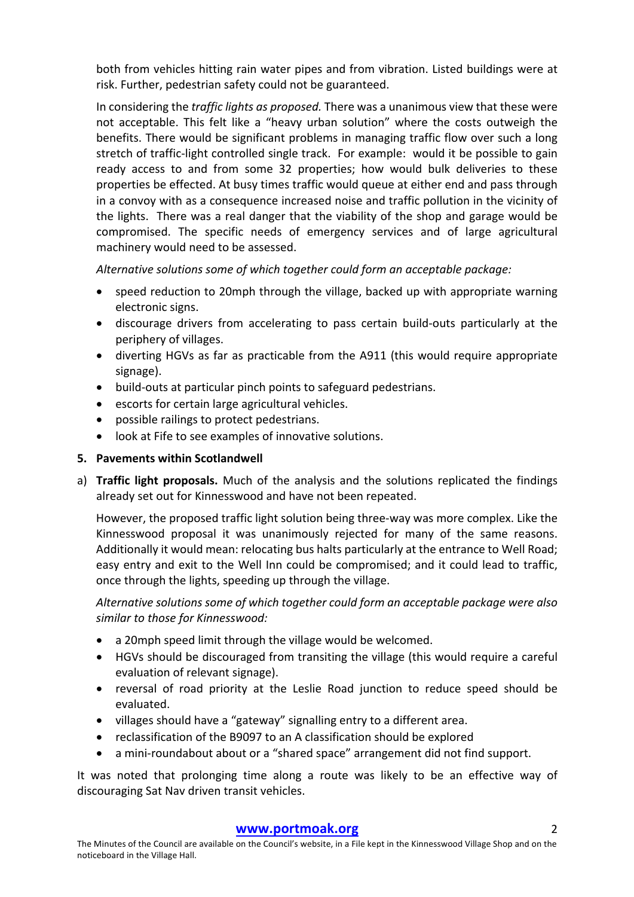both from vehicles hitting rain water pipes and from vibration. Listed buildings were at risk. Further, pedestrian safety could not be guaranteed.

In considering the *traffic lights as proposed*. There was a unanimous view that these were not acceptable. This felt like a "heavy urban solution" where the costs outweigh the benefits. There would be significant problems in managing traffic flow over such a long stretch of traffic-light controlled single track. For example: would it be possible to gain ready access to and from some 32 properties; how would bulk deliveries to these properties be effected. At busy times traffic would queue at either end and pass through in a convoy with as a consequence increased noise and traffic pollution in the vicinity of the lights. There was a real danger that the viability of the shop and garage would be compromised. The specific needs of emergency services and of large agricultural machinery would need to be assessed.

Alternative solutions some of which together could form an acceptable package:

- speed reduction to 20mph through the village, backed up with appropriate warning electronic signs.
- discourage drivers from accelerating to pass certain build-outs particularly at the periphery of villages.
- diverting HGVs as far as practicable from the A911 (this would require appropriate signage).
- build-outs at particular pinch points to safeguard pedestrians.
- escorts for certain large agricultural vehicles.
- possible railings to protect pedestrians.
- look at Fife to see examples of innovative solutions.

#### **5.** Pavements within Scotlandwell

a) **Traffic light proposals.** Much of the analysis and the solutions replicated the findings already set out for Kinnesswood and have not been repeated.

However, the proposed traffic light solution being three-way was more complex. Like the Kinnesswood proposal it was unanimously rejected for many of the same reasons. Additionally it would mean: relocating bus halts particularly at the entrance to Well Road; easy entry and exit to the Well Inn could be compromised; and it could lead to traffic, once through the lights, speeding up through the village.

Alternative solutions some of which together could form an acceptable package were also similar to those for Kinnesswood:

- a 20mph speed limit through the village would be welcomed.
- HGVs should be discouraged from transiting the village (this would require a careful evaluation of relevant signage).
- reversal of road priority at the Leslie Road junction to reduce speed should be evaluated.
- villages should have a "gateway" signalling entry to a different area.
- reclassification of the B9097 to an A classification should be explored
- a mini-roundabout about or a "shared space" arrangement did not find support.

It was noted that prolonging time along a route was likely to be an effective way of discouraging Sat Nav driven transit vehicles.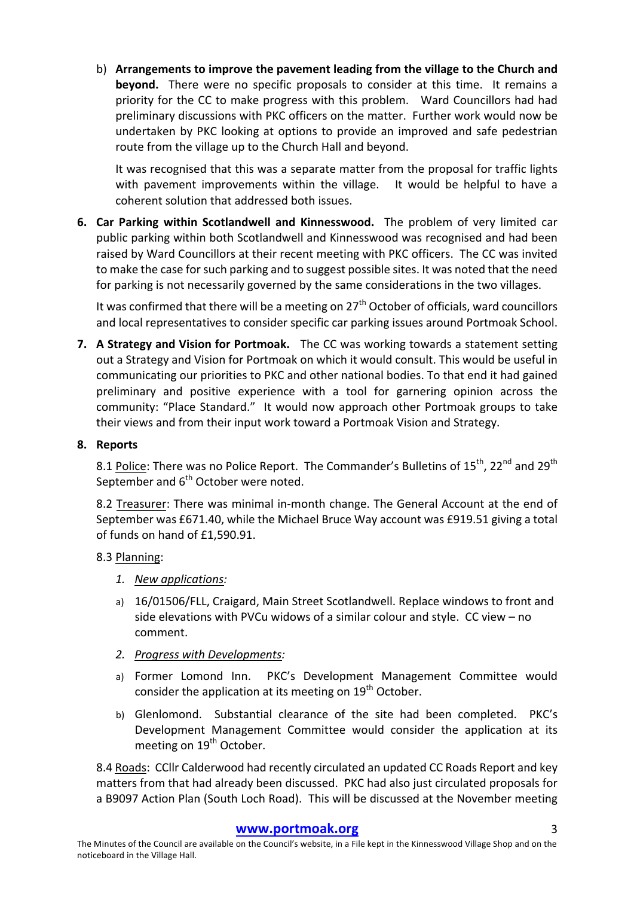b) Arrangements to improve the pavement leading from the village to the Church and **beyond.** There were no specific proposals to consider at this time. It remains a priority for the CC to make progress with this problem. Ward Councillors had had preliminary discussions with PKC officers on the matter. Further work would now be undertaken by PKC looking at options to provide an improved and safe pedestrian route from the village up to the Church Hall and beyond.

It was recognised that this was a separate matter from the proposal for traffic lights with pavement improvements within the village. It would be helpful to have a coherent solution that addressed both issues.

**6.** Car Parking within Scotlandwell and Kinnesswood. The problem of very limited car public parking within both Scotlandwell and Kinnesswood was recognised and had been raised by Ward Councillors at their recent meeting with PKC officers. The CC was invited to make the case for such parking and to suggest possible sites. It was noted that the need for parking is not necessarily governed by the same considerations in the two villages.

It was confirmed that there will be a meeting on  $27<sup>th</sup>$  October of officials, ward councillors and local representatives to consider specific car parking issues around Portmoak School.

**7.** A Strategy and Vision for Portmoak. The CC was working towards a statement setting out a Strategy and Vision for Portmoak on which it would consult. This would be useful in communicating our priorities to PKC and other national bodies. To that end it had gained preliminary and positive experience with a tool for garnering opinion across the community: "Place Standard." It would now approach other Portmoak groups to take their views and from their input work toward a Portmoak Vision and Strategy.

#### **8. Reports**

8.1 Police: There was no Police Report. The Commander's Bulletins of 15<sup>th</sup>, 22<sup>nd</sup> and 29<sup>th</sup> September and  $6<sup>th</sup>$  October were noted.

8.2 Treasurer: There was minimal in-month change. The General Account at the end of September was £671.40, while the Michael Bruce Way account was £919.51 giving a total of funds on hand of £1,590.91.

#### 8.3 Planning:

- *1. New applications:*
- a) 16/01506/FLL, Craigard, Main Street Scotlandwell. Replace windows to front and side elevations with PVCu widows of a similar colour and style.  $CC$  view  $-$  no comment.
- *2. Progress with Developments:*
- a) Former Lomond Inn. PKC's Development Management Committee would consider the application at its meeting on  $19<sup>th</sup>$  October.
- b) Glenlomond. Substantial clearance of the site had been completed. PKC's Development Management Committee would consider the application at its meeting on 19<sup>th</sup> October.

8.4 Roads: CCllr Calderwood had recently circulated an updated CC Roads Report and key matters from that had already been discussed. PKC had also just circulated proposals for a B9097 Action Plan (South Loch Road). This will be discussed at the November meeting

#### **www.portmoak.org** 3